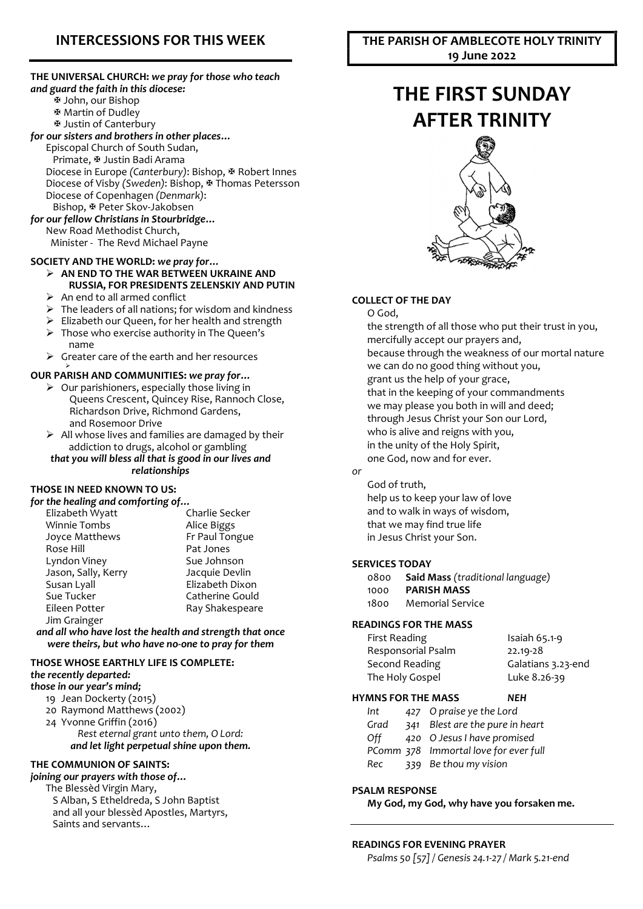# INTERCESSIONS FOR THIS WEEK

#### THE UNIVERSAL CHURCH: we pray for those who teach and guard the faith in this diocese: John, our Bishop Martin of Dudley Justin of Canterbury for our sisters and brothers in other places… Episcopal Church of South Sudan, Primate, Justin Badi Arama Diocese in Europe (Canterbury): Bishop,  $\Phi$  Robert Innes Diocese of Visby (Sweden): Bishop, ₩ Thomas Petersson Diocese of Copenhagen (Denmark): Bishop, & Peter Skov-Jakobsen for our fellow Christians in Stourbridge… New Road Methodist Church,

Minister - The Revd Michael Payne

#### SOCIETY AND THE WORLD: we pray for…  $\triangleright$  AN END TO THE WAR BETWEEN UKRAINE AND

RUSSIA, FOR PRESIDENTS ZELENSKIY AND PUTIN  $\triangleright$  An end to all armed conflict

- $\triangleright$  The leaders of all nations: for wisdom and kindness
- $\triangleright$  Elizabeth our Queen, for her health and strength
- $\triangleright$  Those who exercise authority in The Queen's name
- $\triangleright$  Greater care of the earth and her resources

#### OUR PARISH AND COMMUNITIES: we pray for…

- $\triangleright$  Our parishioners, especially those living in Queens Crescent, Quincey Rise, Rannoch Close, Richardson Drive, Richmond Gardens, and Rosemoor Drive
- $\triangleright$  All whose lives and families are damaged by their addiction to drugs, alcohol or gambling that you will bless all that is good in our lives and relationships

#### THOSE IN NEED KNOWN TO US:

≻

| for the healing and comforting of |                 |
|-----------------------------------|-----------------|
| Elizabeth Wyatt                   | Charlie Secker  |
| <b>Winnie Tombs</b>               | Alice Biggs     |
| Joyce Matthews                    | Fr Paul Tongue  |
| Rose Hill                         | Pat Jones       |
| Lyndon Viney                      | Sue Johnson     |
| Jason, Sally, Kerry               | Jacquie Devlin  |
| Susan Lyall                       | Elizabeth Dixon |
| Sue Tucker                        | Catherine Gould |
| Eileen Potter                     | Ray Shakespeare |
| Jim Grainger                      |                 |

#### and all who have lost the health and strength that once were theirs, but who have no-one to pray for them

# THOSE WHOSE EARTHLY LIFE IS COMPLETE: the recently departed:

# those in our year's mind;

- 19 Jean Dockerty (2015)
- 20 Raymond Matthews (2002)
- 24 Yvonne Griffin (2016) Rest eternal grant unto them, O Lord: and let light perpetual shine upon them.

# THE COMMUNION OF SAINTS:

joining our prayers with those of…

The Blessèd Virgin Mary, S Alban, S Etheldreda, S John Baptist and all your blessèd Apostles, Martyrs, Saints and servants…

# THE PARISH OF AMBLECOTE HOLY TRINITY 19 June 2022

# THE FIRST SUNDAY AFTER TRINITY



### COLLECT OF THE DAY

O God,

the strength of all those who put their trust in you, mercifully accept our prayers and, because through the weakness of our mortal nature we can do no good thing without you, grant us the help of your grace, that in the keeping of your commandments we may please you both in will and deed; through Jesus Christ your Son our Lord, who is alive and reigns with you, in the unity of the Holy Spirit, one God, now and for ever.

# or

God of truth, help us to keep your law of love and to walk in ways of wisdom, that we may find true life in Jesus Christ your Son.

#### SERVICES TODAY

- 0800 Said Mass (traditional language)
- 1000 PARISH MASS
- 1800 Memorial Service

#### READINGS FOR THE MASS

| First Reading      | Isaiah $65.1-9$    |
|--------------------|--------------------|
| Responsorial Psalm | 22.19-28           |
| Second Reading     | Galatians 3.23-end |
| The Holy Gospel    | Luke 8.26-39       |
|                    |                    |

#### HYMNS FOR THE MASS NEH

| Int  | 427 O praise ye the Lord              |
|------|---------------------------------------|
| Grad | 341 Blest are the pure in heart       |
| Off  | 420 O Jesus I have promised           |
|      | PComm 378 Immortal love for ever full |
| Rec  | 339 Be thou my vision                 |

#### PSALM RESPONSE

My God, my God, why have you forsaken me.

### READINGS FOR EVENING PRAYER

Psalms 50 [57] / Genesis 24.1-27 / Mark 5.21-end